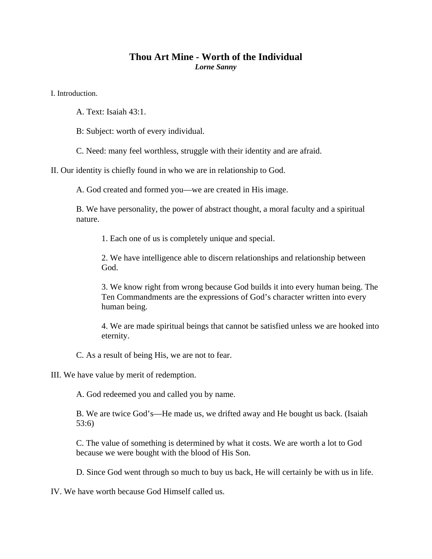## **Thou Art Mine - Worth of the Individual**  *Lorne Sanny*

I. Introduction.

- A. Text: Isaiah 43:1.
- B: Subject: worth of every individual.

C. Need: many feel worthless, struggle with their identity and are afraid.

II. Our identity is chiefly found in who we are in relationship to God.

A. God created and formed you—we are created in His image.

B. We have personality, the power of abstract thought, a moral faculty and a spiritual nature.

1. Each one of us is completely unique and special.

2. We have intelligence able to discern relationships and relationship between God.

3. We know right from wrong because God builds it into every human being. The Ten Commandments are the expressions of God's character written into every human being.

4. We are made spiritual beings that cannot be satisfied unless we are hooked into eternity.

C. As a result of being His, we are not to fear.

III. We have value by merit of redemption.

A. God redeemed you and called you by name.

B. We are twice God's—He made us, we drifted away and He bought us back. (Isaiah 53:6)

C. The value of something is determined by what it costs. We are worth a lot to God because we were bought with the blood of His Son.

D. Since God went through so much to buy us back, He will certainly be with us in life.

IV. We have worth because God Himself called us.